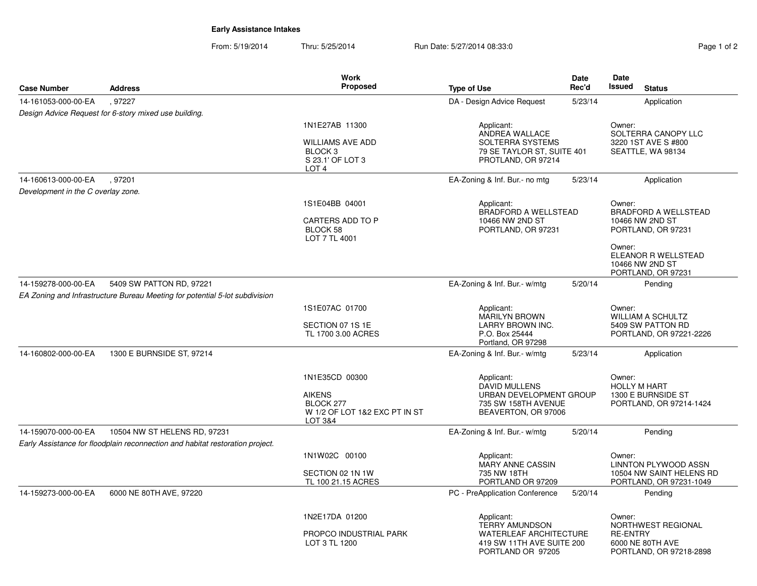## **Early Assistance Intakes**

| <b>Case Number</b>                 | <b>Address</b>                                                                | <b>Work</b><br><b>Proposed</b>                                                           | <b>Type of Use</b>                                                                                                     | <b>Date</b><br>Rec'd | Date<br>Issued<br><b>Status</b>                                                                |
|------------------------------------|-------------------------------------------------------------------------------|------------------------------------------------------------------------------------------|------------------------------------------------------------------------------------------------------------------------|----------------------|------------------------------------------------------------------------------------------------|
| 14-161053-000-00-EA                | .97227                                                                        |                                                                                          | DA - Design Advice Request                                                                                             | 5/23/14              | Application                                                                                    |
|                                    | Design Advice Request for 6-story mixed use building.                         |                                                                                          |                                                                                                                        |                      |                                                                                                |
|                                    |                                                                               | 1N1E27AB 11300                                                                           | Applicant:                                                                                                             |                      | Owner:                                                                                         |
|                                    |                                                                               | <b>WILLIAMS AVE ADD</b><br>BLOCK <sub>3</sub><br>S 23.1' OF LOT 3<br>LOT <sub>4</sub>    | ANDREA WALLACE<br><b>SOLTERRA SYSTEMS</b><br>79 SE TAYLOR ST, SUITE 401<br>PROTLAND, OR 97214                          |                      | SOLTERRA CANOPY LLC<br>3220 1ST AVE S #800<br>SEATTLE, WA 98134                                |
| 14-160613-000-00-EA                | .97201                                                                        |                                                                                          | EA-Zoning & Inf. Bur.- no mtg                                                                                          | 5/23/14              | Application                                                                                    |
| Development in the C overlay zone. |                                                                               |                                                                                          |                                                                                                                        |                      |                                                                                                |
|                                    |                                                                               | 1S1E04BB 04001<br>CARTERS ADD TO P<br>BLOCK 58<br>LOT 7 TL 4001                          | Applicant:<br>BRADFORD A WELLSTEAD<br>10466 NW 2ND ST<br>PORTLAND, OR 97231                                            |                      | Owner:<br><b>BRADFORD A WELLSTEAD</b><br>10466 NW 2ND ST<br>PORTLAND, OR 97231                 |
|                                    |                                                                               |                                                                                          |                                                                                                                        |                      | Owner:<br>ELEANOR R WELLSTEAD<br>10466 NW 2ND ST<br>PORTLAND, OR 97231                         |
| 14-159278-000-00-EA                | 5409 SW PATTON RD, 97221                                                      |                                                                                          | EA-Zoning & Inf. Bur.- w/mtg                                                                                           | 5/20/14              | Pending                                                                                        |
|                                    | EA Zoning and Infrastructure Bureau Meeting for potential 5-lot subdivision   |                                                                                          |                                                                                                                        |                      |                                                                                                |
|                                    |                                                                               | 1S1E07AC 01700<br>SECTION 07 1S 1E<br>TL 1700 3.00 ACRES                                 | Applicant:<br><b>MARILYN BROWN</b><br>LARRY BROWN INC.<br>P.O. Box 25444<br>Portland, OR 97298                         |                      | Owner:<br><b>WILLIAM A SCHULTZ</b><br>5409 SW PATTON RD<br>PORTLAND, OR 97221-2226             |
| 14-160802-000-00-EA                | 1300 E BURNSIDE ST, 97214                                                     |                                                                                          | EA-Zoning & Inf. Bur.- w/mtg                                                                                           | 5/23/14              | Application                                                                                    |
|                                    |                                                                               | 1N1E35CD 00300<br><b>AIKENS</b><br>BLOCK 277<br>W 1/2 OF LOT 1&2 EXC PT IN ST<br>LOT 3&4 | Applicant:<br><b>DAVID MULLENS</b><br>URBAN DEVELOPMENT GROUP<br>735 SW 158TH AVENUE<br>BEAVERTON, OR 97006            |                      | Owner:<br><b>HOLLY M HART</b><br>1300 E BURNSIDE ST<br>PORTLAND, OR 97214-1424                 |
| 14-159070-000-00-EA                | 10504 NW ST HELENS RD, 97231                                                  |                                                                                          | EA-Zoning & Inf. Bur.- w/mtg                                                                                           | 5/20/14              | Pending                                                                                        |
|                                    | Early Assistance for floodplain reconnection and habitat restoration project. |                                                                                          |                                                                                                                        |                      |                                                                                                |
|                                    |                                                                               | 1N1W02C 00100<br>SECTION 02 1N 1W<br>TL 100 21.15 ACRES                                  | Applicant:<br><b>MARY ANNE CASSIN</b><br>735 NW 18TH<br>PORTLAND OR 97209                                              |                      | Owner:<br><b>LINNTON PLYWOOD ASSN</b><br>10504 NW SAINT HELENS RD<br>PORTLAND, OR 97231-1049   |
| 14-159273-000-00-EA                | 6000 NE 80TH AVE, 97220                                                       |                                                                                          | PC - PreApplication Conference                                                                                         | 5/20/14              | Pending                                                                                        |
|                                    |                                                                               | 1N2E17DA 01200<br>PROPCO INDUSTRIAL PARK<br>LOT 3 TL 1200                                | Applicant:<br><b>TERRY AMUNDSON</b><br><b>WATERLEAF ARCHITECTURE</b><br>419 SW 11TH AVE SUITE 200<br>PORTLAND OR 97205 |                      | Owner:<br>NORTHWEST REGIONAL<br><b>RE-ENTRY</b><br>6000 NE 80TH AVE<br>PORTLAND, OR 97218-2898 |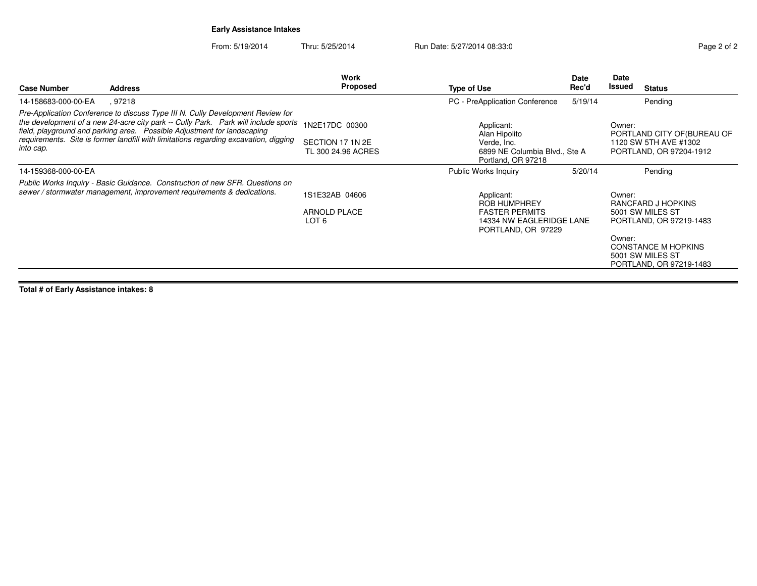**Early Assistance Intakes**

From: 5/19/2014Thru: 5/25/2014 Run Date: 5/27/2014 08:33:0

| aae 2 | ot |
|-------|----|

| <b>Case Number</b>                                                                                                                                                                                                                                                                                                                                    | <b>Address</b> | <b>Work</b><br><b>Proposed</b>                           | <b>Type of Use</b>                                                                                | Date<br>Rec'd                                  | Date<br>Issued                                                                            | <b>Status</b>                                                                                                                           |
|-------------------------------------------------------------------------------------------------------------------------------------------------------------------------------------------------------------------------------------------------------------------------------------------------------------------------------------------------------|----------------|----------------------------------------------------------|---------------------------------------------------------------------------------------------------|------------------------------------------------|-------------------------------------------------------------------------------------------|-----------------------------------------------------------------------------------------------------------------------------------------|
| 14-158683-000-00-EA                                                                                                                                                                                                                                                                                                                                   | . 97218        |                                                          | PC - PreApplication Conference                                                                    | 5/19/14                                        |                                                                                           | Pending                                                                                                                                 |
| Pre-Application Conference to discuss Type III N. Cully Development Review for<br>the development of a new 24-acre city park -- Cully Park. Park will include sports<br>field, playground and parking area.  Possible Adjustment for landscaping<br>requirements. Site is former landfill with limitations regarding excavation, digging<br>into cap. |                | 1N2E17DC 00300<br>SECTION 17 1N 2E<br>TL 300 24.96 ACRES | Applicant:<br>Alan Hipolito<br>Verde, Inc.<br>6899 NE Columbia Blvd., Ste A<br>Portland, OR 97218 |                                                | Owner:<br>PORTLAND CITY OF (BUREAU OF<br>1120 SW 5TH AVE #1302<br>PORTLAND, OR 97204-1912 |                                                                                                                                         |
| 14-159368-000-00-EA                                                                                                                                                                                                                                                                                                                                   |                |                                                          | Public Works Inquiry                                                                              | 5/20/14                                        |                                                                                           | Pending                                                                                                                                 |
| Public Works Inquiry - Basic Guidance. Construction of new SFR. Questions on<br>sewer / stormwater management, improvement requirements & dedications.                                                                                                                                                                                                |                | 1S1E32AB 04606<br><b>ARNOLD PLACE</b><br>LOT 6           | Applicant:<br><b>ROB HUMPHREY</b><br><b>FASTER PERMITS</b>                                        | 14334 NW EAGLERIDGE LANE<br>PORTLAND, OR 97229 |                                                                                           | RANCFARD J HOPKINS<br>5001 SW MILES ST<br>PORTLAND, OR 97219-1483<br>CONSTANCE M HOPKINS<br>5001 SW MILES ST<br>PORTLAND, OR 97219-1483 |

**Total # of Early Assistance intakes: 8**

 $\blacksquare$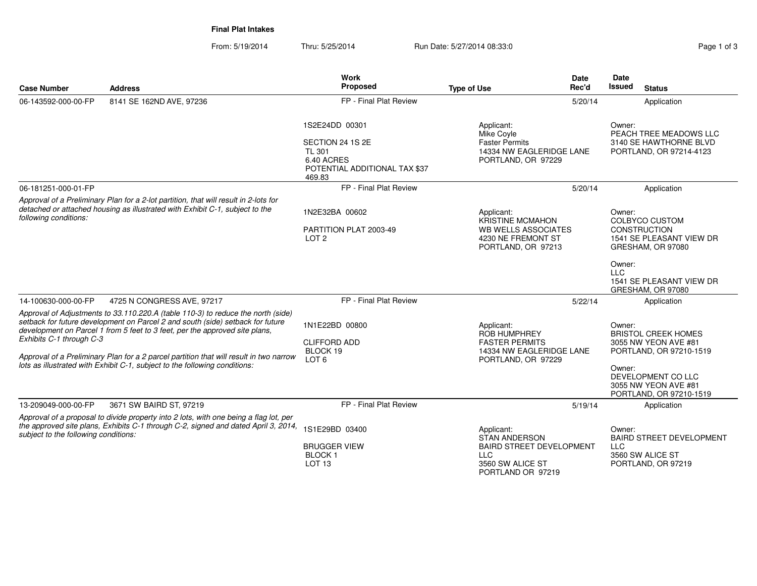**Final Plat Intakes**

| <b>Case Number</b>                                                                                                                                                                                                                                                                                                                                                                                                                                    | <b>Address</b>                                                                                                                                                              | <b>Work</b><br>Proposed                                                                                      | <b>Date</b><br>Rec'd<br><b>Type of Use</b>                                                                                   | Date<br>Issued<br><b>Status</b>                                                                                                                                            |
|-------------------------------------------------------------------------------------------------------------------------------------------------------------------------------------------------------------------------------------------------------------------------------------------------------------------------------------------------------------------------------------------------------------------------------------------------------|-----------------------------------------------------------------------------------------------------------------------------------------------------------------------------|--------------------------------------------------------------------------------------------------------------|------------------------------------------------------------------------------------------------------------------------------|----------------------------------------------------------------------------------------------------------------------------------------------------------------------------|
| 06-143592-000-00-FP                                                                                                                                                                                                                                                                                                                                                                                                                                   | 8141 SE 162ND AVE, 97236                                                                                                                                                    | FP - Final Plat Review                                                                                       | 5/20/14                                                                                                                      | Application                                                                                                                                                                |
|                                                                                                                                                                                                                                                                                                                                                                                                                                                       |                                                                                                                                                                             | 1S2E24DD 00301<br>SECTION 24 1S 2E<br><b>TL 301</b><br>6.40 ACRES<br>POTENTIAL ADDITIONAL TAX \$37<br>469.83 | Applicant:<br>Mike Coyle<br><b>Faster Permits</b><br>14334 NW EAGLERIDGE LANE<br>PORTLAND, OR 97229                          | Owner:<br>PEACH TREE MEADOWS LLC<br>3140 SE HAWTHORNE BLVD<br>PORTLAND, OR 97214-4123                                                                                      |
| 06-181251-000-01-FP                                                                                                                                                                                                                                                                                                                                                                                                                                   |                                                                                                                                                                             | FP - Final Plat Review                                                                                       | 5/20/14                                                                                                                      | Application                                                                                                                                                                |
| Approval of a Preliminary Plan for a 2-lot partition, that will result in 2-lots for<br>detached or attached housing as illustrated with Exhibit C-1, subject to the<br>following conditions:                                                                                                                                                                                                                                                         |                                                                                                                                                                             | 1N2E32BA 00602<br>PARTITION PLAT 2003-49<br>LOT <sub>2</sub>                                                 | Applicant:<br><b>KRISTINE MCMAHON</b><br>WB WELLS ASSOCIATES<br>4230 NE FREMONT ST<br>PORTLAND, OR 97213                     | Owner:<br><b>COLBYCO CUSTOM</b><br><b>CONSTRUCTION</b><br>1541 SE PLEASANT VIEW DR<br>GRESHAM, OR 97080                                                                    |
|                                                                                                                                                                                                                                                                                                                                                                                                                                                       |                                                                                                                                                                             |                                                                                                              |                                                                                                                              | Owner:<br><b>LLC</b><br>1541 SE PLEASANT VIEW DR<br>GRESHAM, OR 97080                                                                                                      |
| 14-100630-000-00-FP                                                                                                                                                                                                                                                                                                                                                                                                                                   | 4725 N CONGRESS AVE, 97217                                                                                                                                                  | FP - Final Plat Review                                                                                       | 5/22/14                                                                                                                      | Application                                                                                                                                                                |
| Approval of Adjustments to 33.110.220.A (table 110-3) to reduce the north (side)<br>setback for future development on Parcel 2 and south (side) setback for future<br>development on Parcel 1 from 5 feet to 3 feet, per the approved site plans,<br>Exhibits C-1 through C-3<br>Approval of a Preliminary Plan for a 2 parcel partition that will result in two narrow<br>lots as illustrated with Exhibit C-1, subject to the following conditions: |                                                                                                                                                                             | 1N1E22BD 00800<br><b>CLIFFORD ADD</b><br>BLOCK 19<br>LOT <sub>6</sub>                                        | Applicant:<br><b>ROB HUMPHREY</b><br><b>FASTER PERMITS</b><br>14334 NW EAGLERIDGE LANE<br>PORTLAND, OR 97229                 | Owner:<br><b>BRISTOL CREEK HOMES</b><br>3055 NW YEON AVE #81<br>PORTLAND, OR 97210-1519<br>Owner:<br>DEVELOPMENT CO LLC<br>3055 NW YEON AVE #81<br>PORTLAND, OR 97210-1519 |
| 13-209049-000-00-FP                                                                                                                                                                                                                                                                                                                                                                                                                                   | 3671 SW BAIRD ST, 97219                                                                                                                                                     | FP - Final Plat Review                                                                                       | 5/19/14                                                                                                                      | Application                                                                                                                                                                |
| subject to the following conditions:                                                                                                                                                                                                                                                                                                                                                                                                                  | Approval of a proposal to divide property into 2 lots, with one being a flag lot, per<br>the approved site plans, Exhibits C-1 through C-2, signed and dated April 3, 2014, | 1S1E29BD 03400<br><b>BRUGGER VIEW</b><br><b>BLOCK1</b><br>LOT <sub>13</sub>                                  | Applicant:<br><b>STAN ANDERSON</b><br><b>BAIRD STREET DEVELOPMENT</b><br><b>LLC</b><br>3560 SW ALICE ST<br>PORTLAND OR 97219 | Owner:<br><b>BAIRD STREET DEVELOPMENT</b><br><b>LLC</b><br>3560 SW ALICE ST<br>PORTLAND, OR 97219                                                                          |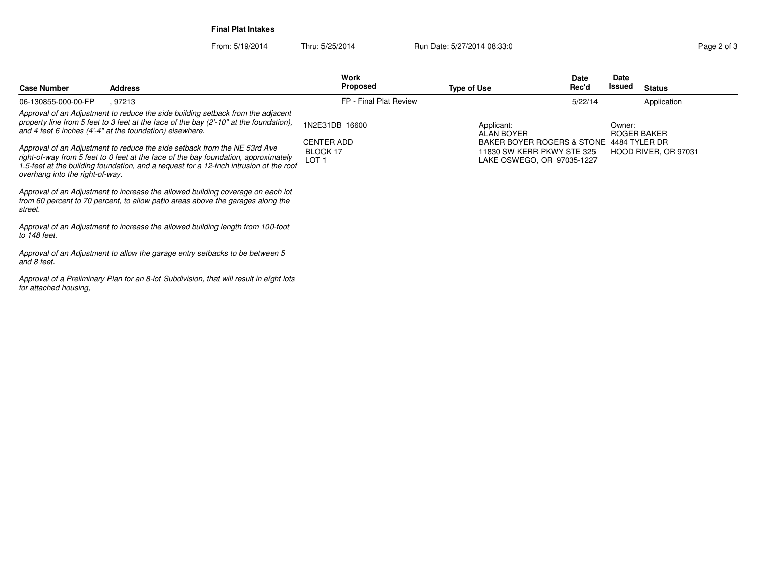**Final Plat Intakes**

From: 5/19/2014Thru: 5/25/2014 Run Date: 5/27/2014 08:33:0

**Case NumberWork** Proposed **AddressS** Proposed **Date Rec'dDateIssued Type of Use Issued Status** *Approval of an Adjustment to reduce the side building setback from the adjacent property line from 5 feet to 3 feet at the face of the bay (2'-10" at the foundation),and 4 feet 6 inches (4'-4" at the foundation) elsewhere.Approval of an Adjustment to reduce the side setback from the NE 53rd Ave right-of-way from 5 feet to 0 feet at the face of the bay foundation, approximately 1.5-feet at the building foundation, and a request for a 12-inch intrusion of the roofoverhang into the right-of-way.Approval of an Adjustment to increase the allowed building coverage on each lot from 60 percent to 70 percent, to allow patio areas above the garages along thestreet.Approval of an Adjustment to increase the allowed building length from 100-footto 148 feet.Approval of an Adjustment to allow the garage entry setbacks to be between 5and 8 feet.Approval of a Preliminary Plan for an 8-lot Subdivision, that will result in eight lotsfor attached housing,*06-130855-000-00-FP , <sup>97213</sup> FP - Final Plat Review1N2E31DB 16600CENTER ADD BLOCK 17 LOT 1Applicant: ALAN BOYER BAKER BOYER ROGERS & STONE 4484 TYLER DR11830 SW KERR PKWY STE 325 LAKE OSWEGO, OR 97035-1227Owner: ROGER BAKER HOOD RIVER, OR 970315/22/14Application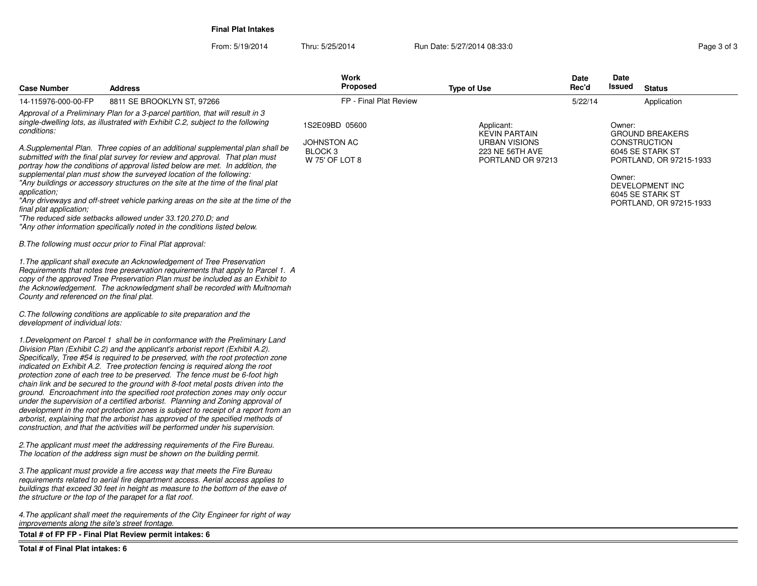**Final Plat Intakes**

From: 5/19/2014

Thru: 5/25/2014 Run Date: 5/27/2014 08:33:0

| <b>Case Number</b>                             | <b>Address</b>                                                                                                                                                                                                                                                                                                                                                                                                                                                                                                                                                                                                                                                                                                                                                                                                                                                                                                                     | <b>Work</b><br><b>Proposed</b>                             | <b>Type of Use</b>                                           | Date<br>Rec'd | Date<br>Issued<br><b>Status</b>                                                                 |
|------------------------------------------------|------------------------------------------------------------------------------------------------------------------------------------------------------------------------------------------------------------------------------------------------------------------------------------------------------------------------------------------------------------------------------------------------------------------------------------------------------------------------------------------------------------------------------------------------------------------------------------------------------------------------------------------------------------------------------------------------------------------------------------------------------------------------------------------------------------------------------------------------------------------------------------------------------------------------------------|------------------------------------------------------------|--------------------------------------------------------------|---------------|-------------------------------------------------------------------------------------------------|
| 14-115976-000-00-FP                            | 8811 SE BROOKLYN ST, 97266                                                                                                                                                                                                                                                                                                                                                                                                                                                                                                                                                                                                                                                                                                                                                                                                                                                                                                         | FP - Final Plat Review                                     |                                                              | 5/22/14       | Application                                                                                     |
| conditions:                                    | Approval of a Preliminary Plan for a 3-parcel partition, that will result in 3<br>single-dwelling lots, as illustrated with Exhibit C.2, subject to the following                                                                                                                                                                                                                                                                                                                                                                                                                                                                                                                                                                                                                                                                                                                                                                  | 1S2E09BD 05600                                             | Applicant:<br><b>KEVIN PARTAIN</b>                           |               | Owner:<br><b>GROUND BREAKERS</b>                                                                |
|                                                | A.Supplemental Plan. Three copies of an additional supplemental plan shall be<br>submitted with the final plat survey for review and approval. That plan must<br>portray how the conditions of approval listed below are met. In addition, the<br>supplemental plan must show the surveyed location of the following:<br>"Any buildings or accessory structures on the site at the time of the final plat                                                                                                                                                                                                                                                                                                                                                                                                                                                                                                                          | <b>JOHNSTON AC</b><br>BLOCK <sub>3</sub><br>W 75' OF LOT 8 | <b>URBAN VISIONS</b><br>223 NE 56TH AVE<br>PORTLAND OR 97213 |               | <b>CONSTRUCTION</b><br>6045 SE STARK ST<br>PORTLAND, OR 97215-1933<br>Owner:<br>DEVELOPMENT INC |
| application;<br>final plat application;        | "Any driveways and off-street vehicle parking areas on the site at the time of the<br>"The reduced side setbacks allowed under 33.120.270.D; and<br>"Any other information specifically noted in the conditions listed below.                                                                                                                                                                                                                                                                                                                                                                                                                                                                                                                                                                                                                                                                                                      |                                                            |                                                              |               | 6045 SE STARK ST<br>PORTLAND, OR 97215-1933                                                     |
|                                                | B. The following must occur prior to Final Plat approval:                                                                                                                                                                                                                                                                                                                                                                                                                                                                                                                                                                                                                                                                                                                                                                                                                                                                          |                                                            |                                                              |               |                                                                                                 |
| County and referenced on the final plat.       | 1. The applicant shall execute an Acknowledgement of Tree Preservation<br>Requirements that notes tree preservation requirements that apply to Parcel 1. A<br>copy of the approved Tree Preservation Plan must be included as an Exhibit to<br>the Acknowledgement. The acknowledgment shall be recorded with Multnomah                                                                                                                                                                                                                                                                                                                                                                                                                                                                                                                                                                                                            |                                                            |                                                              |               |                                                                                                 |
| development of individual lots:                | C. The following conditions are applicable to site preparation and the                                                                                                                                                                                                                                                                                                                                                                                                                                                                                                                                                                                                                                                                                                                                                                                                                                                             |                                                            |                                                              |               |                                                                                                 |
|                                                | 1. Development on Parcel 1 shall be in conformance with the Preliminary Land<br>Division Plan (Exhibit C.2) and the applicant's arborist report (Exhibit A.2).<br>Specifically, Tree #54 is required to be preserved, with the root protection zone<br>indicated on Exhibit A.2. Tree protection fencing is required along the root<br>protection zone of each tree to be preserved. The fence must be 6-foot high<br>chain link and be secured to the ground with 8-foot metal posts driven into the<br>ground. Encroachment into the specified root protection zones may only occur<br>under the supervision of a certified arborist. Planning and Zoning approval of<br>development in the root protection zones is subject to receipt of a report from an<br>arborist, explaining that the arborist has approved of the specified methods of<br>construction, and that the activities will be performed under his supervision. |                                                            |                                                              |               |                                                                                                 |
|                                                | 2. The applicant must meet the addressing requirements of the Fire Bureau.<br>The location of the address sign must be shown on the building permit.                                                                                                                                                                                                                                                                                                                                                                                                                                                                                                                                                                                                                                                                                                                                                                               |                                                            |                                                              |               |                                                                                                 |
|                                                | 3. The applicant must provide a fire access way that meets the Fire Bureau<br>requirements related to aerial fire department access. Aerial access applies to<br>buildings that exceed 30 feet in height as measure to the bottom of the eave of<br>the structure or the top of the parapet for a flat roof.                                                                                                                                                                                                                                                                                                                                                                                                                                                                                                                                                                                                                       |                                                            |                                                              |               |                                                                                                 |
| improvements along the site's street frontage. | 4. The applicant shall meet the requirements of the City Engineer for right of way                                                                                                                                                                                                                                                                                                                                                                                                                                                                                                                                                                                                                                                                                                                                                                                                                                                 |                                                            |                                                              |               |                                                                                                 |
|                                                | Total # of FP FP - Final Plat Review permit intakes: 6                                                                                                                                                                                                                                                                                                                                                                                                                                                                                                                                                                                                                                                                                                                                                                                                                                                                             |                                                            |                                                              |               |                                                                                                 |
| Total # of Final Plat intakes: 6               |                                                                                                                                                                                                                                                                                                                                                                                                                                                                                                                                                                                                                                                                                                                                                                                                                                                                                                                                    |                                                            |                                                              |               |                                                                                                 |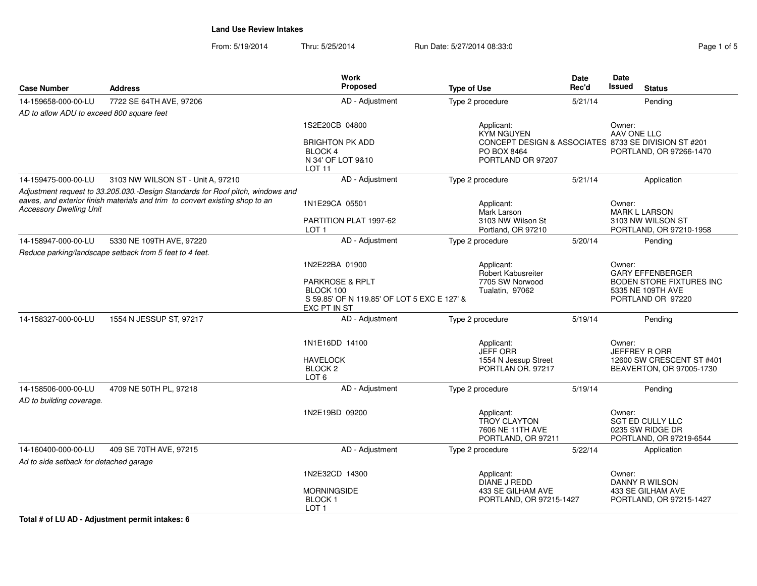From: 5/19/2014Thru: 5/25/2014 Run Date: 5/27/2014 08:33:0

| Page 1 of 5 |  |  |
|-------------|--|--|
|             |  |  |

|                                                 |                                                                                                                                                                | <b>Work</b>                                                                                            |                                                                             | <b>Date</b> | <b>Date</b>                                                                     |
|-------------------------------------------------|----------------------------------------------------------------------------------------------------------------------------------------------------------------|--------------------------------------------------------------------------------------------------------|-----------------------------------------------------------------------------|-------------|---------------------------------------------------------------------------------|
| <b>Case Number</b>                              | <b>Address</b>                                                                                                                                                 | <b>Proposed</b>                                                                                        | <b>Type of Use</b>                                                          | Rec'd       | <b>Issued</b><br><b>Status</b>                                                  |
| 14-159658-000-00-LU                             | 7722 SE 64TH AVE, 97206                                                                                                                                        | AD - Adjustment                                                                                        | Type 2 procedure                                                            | 5/21/14     | Pending                                                                         |
| AD to allow ADU to exceed 800 square feet       |                                                                                                                                                                |                                                                                                        |                                                                             |             |                                                                                 |
|                                                 |                                                                                                                                                                | 1S2E20CB 04800                                                                                         | Applicant:<br><b>KYM NGUYEN</b>                                             |             | Owner:<br>AAV ONE LLC                                                           |
|                                                 |                                                                                                                                                                | <b>BRIGHTON PK ADD</b><br>BLOCK 4<br>N 34' OF LOT 9&10<br>LOT 11                                       | PO BOX 8464<br>PORTLAND OR 97207                                            |             | CONCEPT DESIGN & ASSOCIATES 8733 SE DIVISION ST #201<br>PORTLAND, OR 97266-1470 |
| 14-159475-000-00-LU                             | 3103 NW WILSON ST - Unit A, 97210                                                                                                                              | AD - Adjustment                                                                                        | Type 2 procedure                                                            | 5/21/14     | Application                                                                     |
| <b>Accessory Dwelling Unit</b>                  | Adjustment request to 33.205.030.-Design Standards for Roof pitch, windows and<br>eaves, and exterior finish materials and trim to convert existing shop to an | 1N1E29CA 05501                                                                                         | Applicant:                                                                  |             | Owner:                                                                          |
|                                                 |                                                                                                                                                                | PARTITION PLAT 1997-62<br>LOT <sub>1</sub>                                                             | Mark Larson<br>3103 NW Wilson St<br>Portland, OR 97210                      |             | <b>MARK L LARSON</b><br>3103 NW WILSON ST<br>PORTLAND, OR 97210-1958            |
| 14-158947-000-00-LU                             | 5330 NE 109TH AVE, 97220                                                                                                                                       | AD - Adjustment                                                                                        | Type 2 procedure                                                            | 5/20/14     | Pending                                                                         |
|                                                 | Reduce parking/landscape setback from 5 feet to 4 feet.                                                                                                        |                                                                                                        |                                                                             |             |                                                                                 |
|                                                 |                                                                                                                                                                | 1N2E22BA 01900                                                                                         | Applicant:<br><b>Robert Kabusreiter</b>                                     |             | Owner:<br><b>GARY EFFENBERGER</b>                                               |
|                                                 |                                                                                                                                                                | <b>PARKROSE &amp; RPLT</b><br>BLOCK 100<br>S 59.85' OF N 119.85' OF LOT 5 EXC E 127' &<br>EXC PT IN ST | 7705 SW Norwood<br>Tualatin, 97062                                          |             | <b>BODEN STORE FIXTURES INC</b><br>5335 NE 109TH AVE<br>PORTLAND OR 97220       |
| 14-158327-000-00-LU                             | 1554 N JESSUP ST, 97217                                                                                                                                        | AD - Adjustment                                                                                        | Type 2 procedure                                                            | 5/19/14     | Pending                                                                         |
|                                                 |                                                                                                                                                                | 1N1E16DD 14100                                                                                         | Applicant:<br><b>JEFF ORR</b>                                               |             | Owner:<br><b>JEFFREY RORR</b>                                                   |
|                                                 |                                                                                                                                                                | <b>HAVELOCK</b><br>BLOCK <sub>2</sub><br>LOT <sub>6</sub>                                              | 1554 N Jessup Street<br>PORTLAN OR. 97217                                   |             | 12600 SW CRESCENT ST #401<br>BEAVERTON, OR 97005-1730                           |
| 14-158506-000-00-LU<br>AD to building coverage. | 4709 NE 50TH PL, 97218                                                                                                                                         | AD - Adjustment                                                                                        | Type 2 procedure                                                            | 5/19/14     | Pendina                                                                         |
|                                                 |                                                                                                                                                                | 1N2E19BD 09200                                                                                         | Applicant:<br><b>TROY CLAYTON</b><br>7606 NE 11TH AVE<br>PORTLAND, OR 97211 |             | Owner:<br>SGT ED CULLY LLC<br>0235 SW RIDGE DR<br>PORTLAND, OR 97219-6544       |
| 14-160400-000-00-LU                             | 409 SE 70TH AVE, 97215                                                                                                                                         | AD - Adjustment                                                                                        | Type 2 procedure                                                            | 5/22/14     | Application                                                                     |
| Ad to side setback for detached garage          |                                                                                                                                                                |                                                                                                        |                                                                             |             |                                                                                 |
|                                                 |                                                                                                                                                                | 1N2E32CD 14300                                                                                         | Applicant:<br>DIANE J REDD                                                  |             | Owner:<br>DANNY R WILSON                                                        |
|                                                 |                                                                                                                                                                | <b>MORNINGSIDE</b><br><b>BLOCK1</b><br>LOT <sub>1</sub>                                                | 433 SE GILHAM AVE<br>PORTLAND, OR 97215-1427                                |             | 433 SE GILHAM AVE<br>PORTLAND, OR 97215-1427                                    |

**Total # of LU AD - Adjustment permit intakes: 6**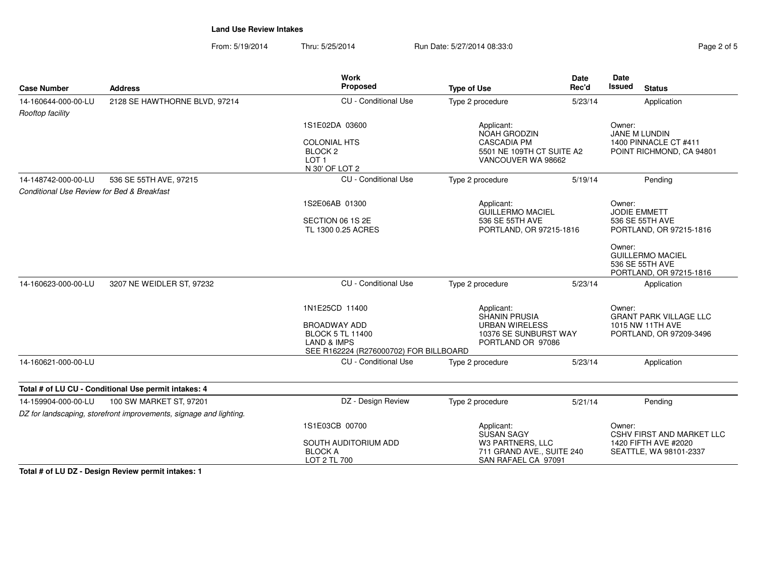From: 5/19/2014Thru: 5/25/2014 Run Date: 5/27/2014 08:33:0

| Page 2 of 5 |  |  |
|-------------|--|--|

| <b>Case Number</b>                         | <b>Address</b>                                                     | <b>Work</b><br>Proposed                                                         | <b>Type of Use</b>                                                   | <b>Date</b><br>Rec'd                                                  | <b>Date</b><br><b>Issued</b><br><b>Status</b>                                   |  |
|--------------------------------------------|--------------------------------------------------------------------|---------------------------------------------------------------------------------|----------------------------------------------------------------------|-----------------------------------------------------------------------|---------------------------------------------------------------------------------|--|
| 14-160644-000-00-LU                        | 2128 SE HAWTHORNE BLVD, 97214                                      | <b>CU</b> - Conditional Use                                                     | Type 2 procedure                                                     | 5/23/14                                                               | Application                                                                     |  |
| Rooftop facility                           |                                                                    |                                                                                 |                                                                      |                                                                       |                                                                                 |  |
|                                            |                                                                    | 1S1E02DA 03600                                                                  | Applicant:<br>NOAH GRODZIN                                           |                                                                       | Owner:<br>JANE M LUNDIN<br>1400 PINNACLE CT #411                                |  |
|                                            |                                                                    | <b>COLONIAL HTS</b><br>BLOCK <sub>2</sub><br>LOT <sub>1</sub><br>N 30' OF LOT 2 |                                                                      | <b>CASCADIA PM</b><br>5501 NE 109TH CT SUITE A2<br>VANCOUVER WA 98662 |                                                                                 |  |
| 14-148742-000-00-LU                        | 536 SE 55TH AVE, 97215                                             | <b>CU</b> - Conditional Use                                                     | Type 2 procedure                                                     | 5/19/14                                                               | Pending                                                                         |  |
| Conditional Use Review for Bed & Breakfast |                                                                    |                                                                                 |                                                                      |                                                                       |                                                                                 |  |
|                                            |                                                                    | 1S2E06AB 01300                                                                  | Applicant:<br>GUILLERMO MACIEL                                       |                                                                       | Owner:<br>JODIE EMMETT                                                          |  |
|                                            |                                                                    | SECTION 06 1S 2E<br>TL 1300 0.25 ACRES                                          | 536 SE 55TH AVE                                                      | PORTLAND, OR 97215-1816                                               |                                                                                 |  |
|                                            |                                                                    |                                                                                 |                                                                      |                                                                       | Owner:<br><b>GUILLERMO MACIEL</b><br>536 SE 55TH AVE<br>PORTLAND, OR 97215-1816 |  |
| 14-160623-000-00-LU                        | 3207 NE WEIDLER ST, 97232                                          | <b>CU</b> - Conditional Use                                                     | Type 2 procedure                                                     | 5/23/14                                                               | Application                                                                     |  |
|                                            |                                                                    | 1N1E25CD 11400                                                                  | Applicant:<br>SHANIN PRUSIA                                          |                                                                       | Owner:<br><b>GRANT PARK VILLAGE LLC</b>                                         |  |
|                                            |                                                                    | <b>BROADWAY ADD</b><br><b>BLOCK 5 TL 11400</b><br><b>LAND &amp; IMPS</b>        | <b>URBAN WIRELESS</b><br>10376 SE SUNBURST WAY<br>PORTLAND OR 97086  |                                                                       | 1015 NW 11TH AVE<br>PORTLAND, OR 97209-3496                                     |  |
|                                            |                                                                    | SEE R162224 (R276000702) FOR BILLBOARD                                          |                                                                      |                                                                       |                                                                                 |  |
| 14-160621-000-00-LU                        |                                                                    | <b>CU</b> - Conditional Use                                                     | Type 2 procedure                                                     | 5/23/14                                                               | Application                                                                     |  |
|                                            | Total # of LU CU - Conditional Use permit intakes: 4               |                                                                                 |                                                                      |                                                                       |                                                                                 |  |
| 14-159904-000-00-LU                        | 100 SW MARKET ST, 97201                                            | DZ - Design Review                                                              | Type 2 procedure                                                     | 5/21/14                                                               | Pending                                                                         |  |
|                                            | DZ for landscaping, storefront improvements, signage and lighting. |                                                                                 |                                                                      |                                                                       |                                                                                 |  |
|                                            |                                                                    | 1S1E03CB 00700                                                                  | Applicant:<br><b>SUSAN SAGY</b>                                      |                                                                       | Owner:<br><b>CSHV FIRST AND MARKET LLC</b>                                      |  |
|                                            |                                                                    | SOUTH AUDITORIUM ADD<br><b>BLOCK A</b><br>LOT 2 TL 700                          | W3 PARTNERS, LLC<br>711 GRAND AVE., SUITE 240<br>SAN RAFAEL CA 97091 |                                                                       | 1420 FIFTH AVE #2020<br>SEATTLE, WA 98101-2337                                  |  |

**Total # of LU DZ - Design Review permit intakes: 1**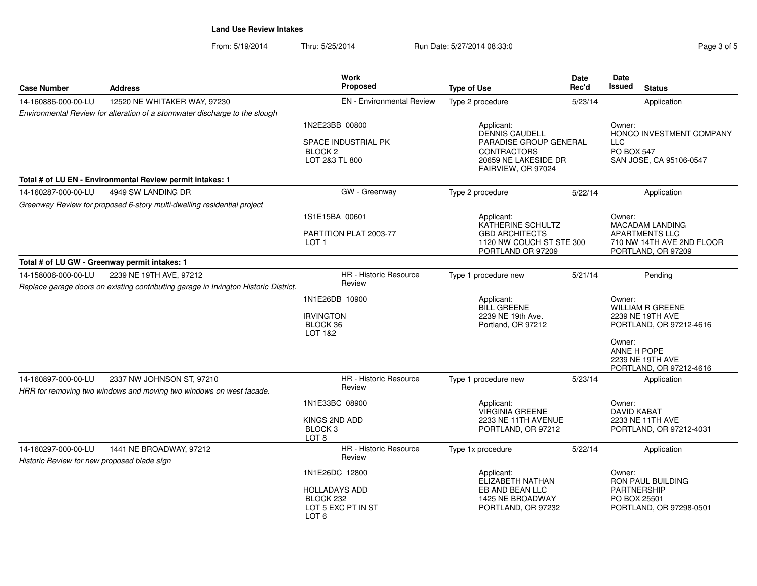| <b>Case Number</b>                                                 | <b>Address</b>                                                                       | Work<br>Proposed                                                              | <b>Type of Use</b>                                                                                                         | Date<br>Rec'd | Date<br><b>Issued</b><br><b>Status</b>                                                           |  |
|--------------------------------------------------------------------|--------------------------------------------------------------------------------------|-------------------------------------------------------------------------------|----------------------------------------------------------------------------------------------------------------------------|---------------|--------------------------------------------------------------------------------------------------|--|
| 14-160886-000-00-LU                                                | 12520 NE WHITAKER WAY, 97230                                                         | <b>EN</b> - Environmental Review                                              | Type 2 procedure                                                                                                           | 5/23/14       | Application                                                                                      |  |
|                                                                    | Environmental Review for alteration of a stormwater discharge to the slough          |                                                                               |                                                                                                                            |               |                                                                                                  |  |
|                                                                    |                                                                                      | 1N2E23BB 00800<br>SPACE INDUSTRIAL PK<br>BLOCK <sub>2</sub><br>LOT 2&3 TL 800 | Applicant:<br>DENNIS CAUDELL<br>PARADISE GROUP GENERAL<br><b>CONTRACTORS</b><br>20659 NE LAKESIDE DR<br>FAIRVIEW, OR 97024 |               | Owner:<br>HONCO INVESTMENT COMPANY<br><b>LLC</b><br><b>PO BOX 547</b><br>SAN JOSE, CA 95106-0547 |  |
|                                                                    | Total # of LU EN - Environmental Review permit intakes: 1                            |                                                                               |                                                                                                                            |               |                                                                                                  |  |
| 14-160287-000-00-LU                                                | 4949 SW LANDING DR                                                                   | GW - Greenway                                                                 | Type 2 procedure                                                                                                           | 5/22/14       | Application                                                                                      |  |
|                                                                    | Greenway Review for proposed 6-story multi-dwelling residential project              |                                                                               |                                                                                                                            |               |                                                                                                  |  |
|                                                                    |                                                                                      | 1S1E15BA 00601                                                                | Applicant:                                                                                                                 |               | Owner:                                                                                           |  |
|                                                                    |                                                                                      | PARTITION PLAT 2003-77<br>LOT <sub>1</sub>                                    | KATHERINE SCHULTZ<br><b>GBD ARCHITECTS</b><br>1120 NW COUCH ST STE 300<br>PORTLAND OR 97209                                |               | MACADAM LANDING<br><b>APARTMENTS LLC</b><br>710 NW 14TH AVE 2ND FLOOR<br>PORTLAND, OR 97209      |  |
|                                                                    | Total # of LU GW - Greenway permit intakes: 1                                        |                                                                               |                                                                                                                            |               |                                                                                                  |  |
| 14-158006-000-00-LU                                                | 2239 NE 19TH AVE, 97212                                                              | HR - Historic Resource                                                        | Type 1 procedure new                                                                                                       | 5/21/14       | Pending                                                                                          |  |
|                                                                    | Replace garage doors on existing contributing garage in Irvington Historic District. | Review                                                                        |                                                                                                                            |               |                                                                                                  |  |
|                                                                    |                                                                                      | 1N1E26DB 10900<br><b>IRVINGTON</b><br>BLOCK 36<br>LOT 1&2                     | Applicant:<br><b>BILL GREENE</b><br>2239 NE 19th Ave.<br>Portland, OR 97212                                                |               | Owner:<br><b>WILLIAM R GREENE</b><br>2239 NE 19TH AVE<br>PORTLAND, OR 97212-4616                 |  |
|                                                                    |                                                                                      |                                                                               |                                                                                                                            |               | Owner:<br>ANNE H POPE<br>2239 NE 19TH AVE<br>PORTLAND, OR 97212-4616                             |  |
| 14-160897-000-00-LU                                                | 2337 NW JOHNSON ST, 97210                                                            | HR - Historic Resource<br>Review                                              | Type 1 procedure new                                                                                                       | 5/23/14       | Application                                                                                      |  |
|                                                                    | HRR for removing two windows and moving two windows on west facade.                  |                                                                               |                                                                                                                            |               |                                                                                                  |  |
|                                                                    |                                                                                      | 1N1E33BC 08900<br>KINGS 2ND ADD<br>BLOCK <sub>3</sub>                         | Applicant:<br><b>VIRGINIA GREENE</b><br>2233 NE 11TH AVENUE<br>PORTLAND, OR 97212                                          |               | Owner:<br><b>DAVID KABAT</b><br>2233 NE 11TH AVE<br>PORTLAND, OR 97212-4031                      |  |
|                                                                    |                                                                                      | LOT <sub>8</sub>                                                              |                                                                                                                            |               |                                                                                                  |  |
| 14-160297-000-00-LU<br>Historic Review for new proposed blade sign | 1441 NE BROADWAY, 97212                                                              | HR - Historic Resource<br>Review                                              | Type 1x procedure                                                                                                          | 5/22/14       | Application                                                                                      |  |
|                                                                    |                                                                                      | 1N1E26DC 12800                                                                | Applicant:<br>ELIZABETH NATHAN                                                                                             |               | Owner:<br>RON PAUL BUILDING                                                                      |  |
|                                                                    |                                                                                      | <b>HOLLADAYS ADD</b><br>BLOCK 232<br>LOT 5 EXC PT IN ST<br>LOT 6              | EB AND BEAN LLC<br>1425 NE BROADWAY<br>PORTLAND, OR 97232                                                                  |               | <b>PARTNERSHIP</b><br>PO BOX 25501<br>PORTLAND, OR 97298-0501                                    |  |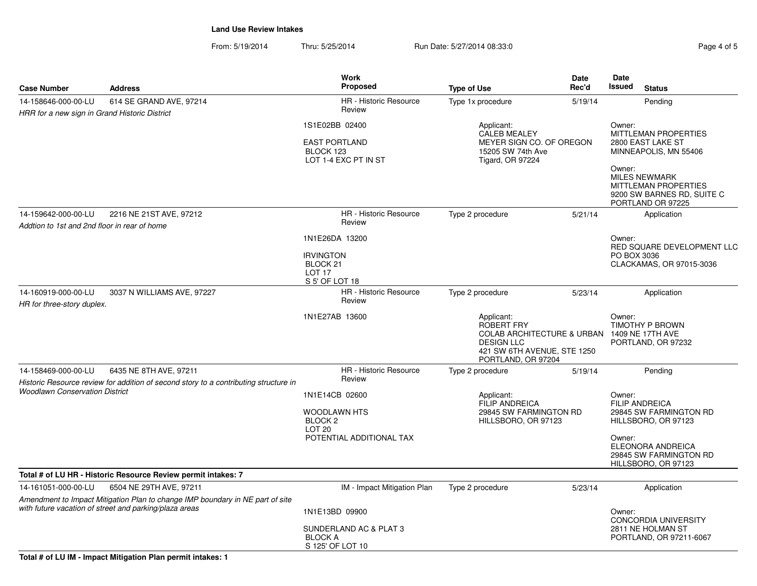| Page 4 of 5 |  |  |
|-------------|--|--|
|             |  |  |

| <b>Case Number</b>                                                                             | <b>Address</b>                                                                                                                          | <b>Work</b><br>Proposed                                                                                      | <b>Type of Use</b>                                                                                                                                       | Date<br>Rec'd                                                                                 | Date<br>Issued        | <b>Status</b>                                                                                          |
|------------------------------------------------------------------------------------------------|-----------------------------------------------------------------------------------------------------------------------------------------|--------------------------------------------------------------------------------------------------------------|----------------------------------------------------------------------------------------------------------------------------------------------------------|-----------------------------------------------------------------------------------------------|-----------------------|--------------------------------------------------------------------------------------------------------|
| 14-158646-000-00-LU<br>HRR for a new sign in Grand Historic District                           | 614 SE GRAND AVE, 97214                                                                                                                 | HR - Historic Resource<br>Review                                                                             | Type 1x procedure                                                                                                                                        | 5/19/14                                                                                       |                       | Pending                                                                                                |
|                                                                                                |                                                                                                                                         | 1S1E02BB 02400<br><b>EAST PORTLAND</b><br>BLOCK 123<br>LOT 1-4 EXC PT IN ST                                  | Applicant:<br>CALEB MEALEY<br>MEYER SIGN CO. OF OREGON<br>15205 SW 74th Ave<br><b>Tigard, OR 97224</b>                                                   | Owner:<br><b>MITTLEMAN PROPERTIES</b><br>2800 EAST LAKE ST<br>MINNEAPOLIS, MN 55406<br>Owner: |                       |                                                                                                        |
|                                                                                                |                                                                                                                                         |                                                                                                              |                                                                                                                                                          |                                                                                               |                       | <b>MILES NEWMARK</b><br><b>MITTLEMAN PROPERTIES</b><br>9200 SW BARNES RD, SUITE C<br>PORTLAND OR 97225 |
| 2216 NE 21ST AVE, 97212<br>14-159642-000-00-LU<br>Addtion to 1st and 2nd floor in rear of home |                                                                                                                                         | <b>HR</b> - Historic Resource<br>Review                                                                      | Type 2 procedure                                                                                                                                         | 5/21/14                                                                                       |                       | Application                                                                                            |
|                                                                                                |                                                                                                                                         | 1N1E26DA 13200<br><b>IRVINGTON</b><br>BLOCK <sub>21</sub><br>LOT <sub>17</sub><br>S 5' OF LOT 18             |                                                                                                                                                          |                                                                                               | Owner:<br>PO BOX 3036 | RED SQUARE DEVELOPMENT LLC<br>CLACKAMAS, OR 97015-3036                                                 |
| 14-160919-000-00-LU<br>3037 N WILLIAMS AVE, 97227<br>HR for three-story duplex.                |                                                                                                                                         | <b>HR</b> - Historic Resource<br>Review                                                                      | Type 2 procedure                                                                                                                                         | 5/23/14                                                                                       | Application           |                                                                                                        |
|                                                                                                |                                                                                                                                         | 1N1E27AB 13600                                                                                               | Applicant:<br><b>ROBERT FRY</b><br>COLAB ARCHITECTURE & URBAN 1409 NE 17TH AVE<br><b>DESIGN LLC</b><br>421 SW 6TH AVENUE, STE 1250<br>PORTLAND, OR 97204 |                                                                                               | Owner:                | TIMOTHY P BROWN<br>PORTLAND, OR 97232                                                                  |
| 14-158469-000-00-LU                                                                            | 6435 NE 8TH AVE, 97211<br>Historic Resource review for addition of second story to a contributing structure in                          | HR - Historic Resource<br>Review                                                                             | Type 2 procedure                                                                                                                                         | 5/19/14                                                                                       |                       | Pending                                                                                                |
| <b>Woodlawn Conservation District</b>                                                          |                                                                                                                                         | 1N1E14CB 02600<br><b>WOODLAWN HTS</b><br>BLOCK <sub>2</sub><br>LOT <sub>20</sub><br>POTENTIAL ADDITIONAL TAX | Applicant:<br><b>FILIP ANDREICA</b><br>29845 SW FARMINGTON RD<br>HILLSBORO, OR 97123                                                                     |                                                                                               | Owner:<br>Owner:      | <b>FILIP ANDREICA</b><br>29845 SW FARMINGTON RD<br>HILLSBORO, OR 97123<br>ELEONORA ANDREICA            |
|                                                                                                |                                                                                                                                         |                                                                                                              |                                                                                                                                                          |                                                                                               |                       | 29845 SW FARMINGTON RD<br>HILLSBORO, OR 97123                                                          |
|                                                                                                | Total # of LU HR - Historic Resource Review permit intakes: 7                                                                           |                                                                                                              |                                                                                                                                                          |                                                                                               |                       |                                                                                                        |
| 14-161051-000-00-LU                                                                            | 6504 NE 29TH AVE, 97211                                                                                                                 | IM - Impact Mitigation Plan                                                                                  | Type 2 procedure                                                                                                                                         | 5/23/14                                                                                       |                       | Application                                                                                            |
|                                                                                                | Amendment to Impact Mitigation Plan to change IMP boundary in NE part of site<br>with future vacation of street and parking/plaza areas | 1N1E13BD 09900                                                                                               |                                                                                                                                                          |                                                                                               | Owner:                | <b>CONCORDIA UNIVERSITY</b>                                                                            |
|                                                                                                |                                                                                                                                         | SUNDERLAND AC & PLAT 3<br><b>BLOCK A</b><br>S 125' OF LOT 10                                                 |                                                                                                                                                          |                                                                                               |                       | 2811 NE HOLMAN ST<br>PORTLAND, OR 97211-6067                                                           |